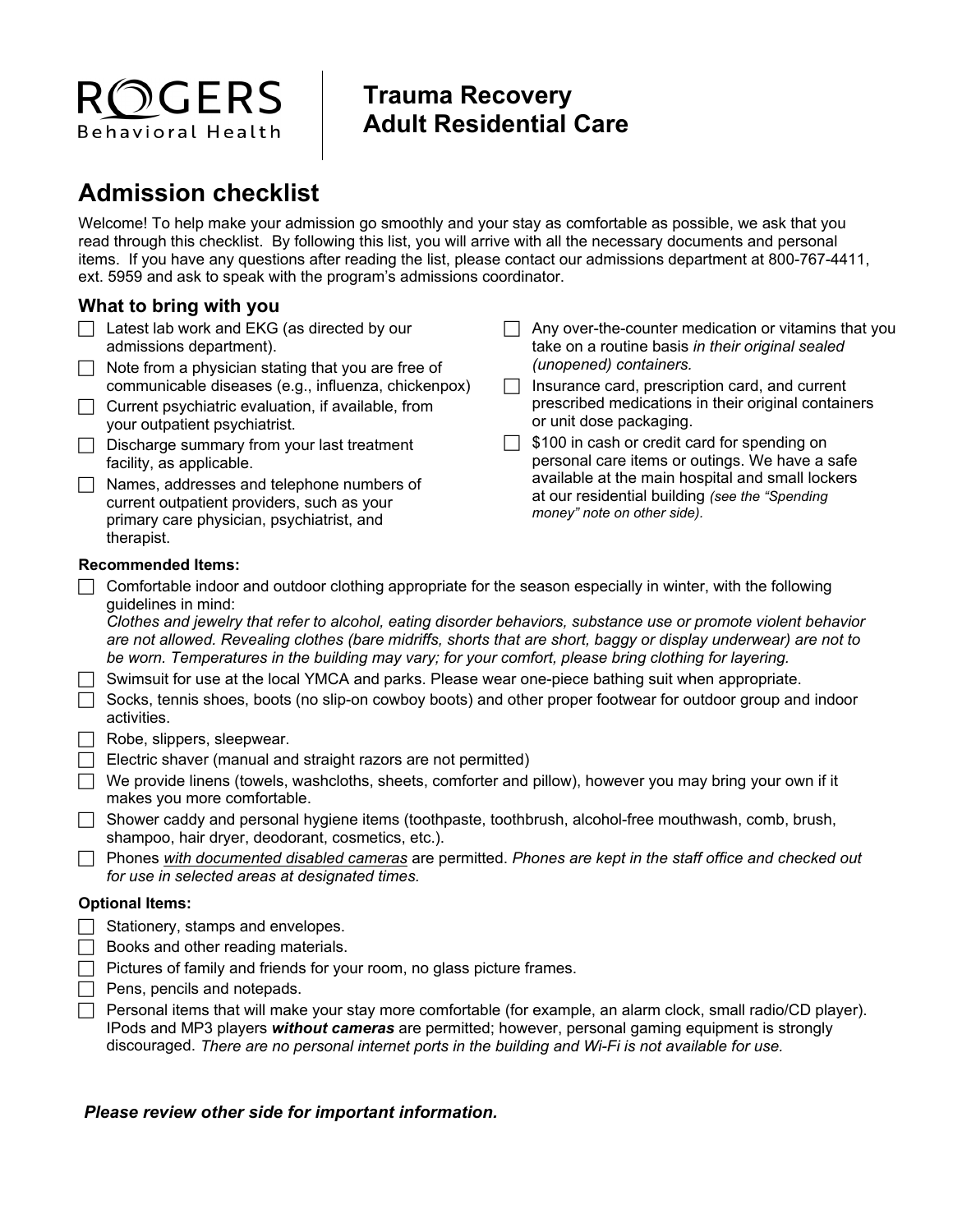# $\bigcirc$ GERS Behavioral Health

### **Trauma Recovery Adult Residential Care**

## **Admission checklist**

Welcome! To help make your admission go smoothly and your stay as comfortable as possible, we ask that you read through this checklist. By following this list, you will arrive with all the necessary documents and personal items. If you have any questions after reading the list, please contact our admissions department at 800-767-4411, ext. 5959 and ask to speak with the program's admissions coordinator.

### **What to bring with you**

- $\Box$  Latest lab work and EKG (as directed by our admissions department).
- $\Box$  Note from a physician stating that you are free of communicable diseases (e.g., influenza, chickenpox)
- $\Box$  Current psychiatric evaluation, if available, from your outpatient psychiatrist.
- $\Box$  Discharge summary from your last treatment facility, as applicable.
- Names, addresses and telephone numbers of current outpatient providers, such as your primary care physician, psychiatrist, and therapist.
- $\Box$  Any over-the-counter medication or vitamins that you take on a routine basis *in their original sealed (unopened) containers.*
- $\Box$  Insurance card, prescription card, and current prescribed medications in their original containers or unit dose packaging.
- $\Box$  \$100 in cash or credit card for spending on personal care items or outings. We have a safe available at the main hospital and small lockers at our residential building *(see the "Spending money" note on other side).*

#### **Recommended Items:**

 $\Box$  Comfortable indoor and outdoor clothing appropriate for the season especially in winter, with the following guidelines in mind:

*Clothes and jewelry that refer to alcohol, eating disorder behaviors, substance use or promote violent behavior are not allowed. Revealing clothes (bare midriffs, shorts that are short, baggy or display underwear) are not to be worn. Temperatures in the building may vary; for your comfort, please bring clothing for layering.* 

- $\Box$  Swimsuit for use at the local YMCA and parks. Please wear one-piece bathing suit when appropriate.
- $\Box$  Socks, tennis shoes, boots (no slip-on cowboy boots) and other proper footwear for outdoor group and indoor activities.
- $\Box$  Robe, slippers, sleepwear.
- $\Box$  Electric shaver (manual and straight razors are not permitted)
- $\Box$  We provide linens (towels, washcloths, sheets, comforter and pillow), however you may bring your own if it makes you more comfortable.
- Shower caddy and personal hygiene items (toothpaste, toothbrush, alcohol-free mouthwash, comb, brush, shampoo, hair dryer, deodorant, cosmetics, etc.).
- Phones *with documented disabled cameras* are permitted. *Phones are kept in the staff office and checked out for use in selected areas at designated times.*

#### **Optional Items:**

- $\Box$  Stationery, stamps and envelopes.
- $\Box$  Books and other reading materials.
- $\Box$  Pictures of family and friends for your room, no glass picture frames.
- $\Box$  Pens, pencils and notepads.
- $\Box$  Personal items that will make your stay more comfortable (for example, an alarm clock, small radio/CD player). IPods and MP3 players *without cameras* are permitted; however, personal gaming equipment is strongly discouraged. *There are no personal internet ports in the building and Wi-Fi is not available for use.*

#### *Please review other side for important information.*